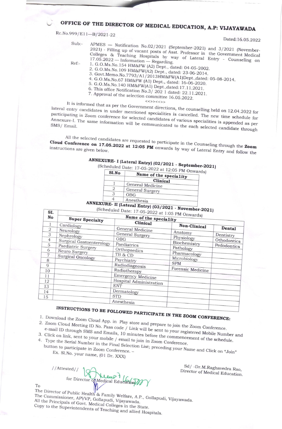## OFFICE OF THE DIRECTOR OF MEDICAL EDUCATION, A.P: VIJAYAWADA

Rc.No.999/E11-B/2021-22

Dated:16.05.2022

 $Suh$ -

Ref:-

APMES - Notification No.02/2021 (September-2021) and 3/2021 (November-2021) - Filling up of vacant posts of Asst. Professor in the Government Medical Colleges & Teaching Hospitals by way of Lateral Entry - Counseling on  $17.05.2022$  — Information — Regarding. 1. G.O.Ms.No.154 HM&FW (A2) Dept., dated: 04-05-2002.

2. G.O.Ms.No.109 HM&FW(A2) Dept., dated: 23-06-2014.

3. Govt.Memo.No.7793/A1/2013HM&FW(A1)Dept.,dated: 05-08-2014. 4. G.O.Ms.No.67 HM&FW (A1) Dept., dated: 16-06-2020.

- 5. G.O.Ms.No.140 HM&FW(A1) Dept., dated:17.11.2021.
- 

6. This office Notification No.3/2021 dated:  $22.11.2021$ . 7. Approval of the selection committee 16.05.2022.

<<>><<>>

It is informed that as per the Government directions, the counselling held on 12.04.2022 for lateral entry candidates in under mentioned specialities is cancelled. The new time schedule for participating in Zoom conference for selected candidates of various specialities is appended as per Annexure-I. The same information will be communicated to the each selected candidate through

All the selected candidates are requested to participate in the Counseling through the Zoom Cloud Conference on 17.05.2022 at 12:05 PM onwards by way of Lateral Entry and follow the instructions are given below.

## ANNEXURE- I (Lateral Entry) (02/2021 - September-2021)

| Sl.No | cheduled Date: 17-05-2022 at 12:05 PM Onwards)<br>Name of the speciality |
|-------|--------------------------------------------------------------------------|
|       | Clinical                                                                 |
|       | General Medicine                                                         |
|       | General Surgery                                                          |
|       | OBG                                                                      |
|       |                                                                          |

Anesthesia 4

ANNEXURE- II (Lateral Entry) (03/2021 - November-2021) (Scheduled Date: 17-05-2022 at 1:05 PM

|                                                                                                    | $\sim$ 2022 at 1.05 PM Onwards)                                                                                        |                                                                                                                                                                                                                                                       |                                                                                                                       |                                                   |  |  |  |  |  |
|----------------------------------------------------------------------------------------------------|------------------------------------------------------------------------------------------------------------------------|-------------------------------------------------------------------------------------------------------------------------------------------------------------------------------------------------------------------------------------------------------|-----------------------------------------------------------------------------------------------------------------------|---------------------------------------------------|--|--|--|--|--|
| No                                                                                                 | <b>Super Specialty</b>                                                                                                 | Name of the speciality                                                                                                                                                                                                                                |                                                                                                                       |                                                   |  |  |  |  |  |
| 1                                                                                                  | Cardiology                                                                                                             | Clinical                                                                                                                                                                                                                                              | Non-Clinical                                                                                                          |                                                   |  |  |  |  |  |
| $\overline{2}$<br>3<br>$\overline{4}$<br>5<br>6<br>7<br>8<br>9<br>10<br>11<br>12<br>13<br>14<br>15 | Neurology<br>Nephrology<br>Surgical Gastoenterology<br>Paediatric Surgery<br>Neuro Surgery<br><b>Surgical Oncology</b> | General Medicine<br>General Surgery<br>OBG<br>Paediatrics<br>Orthopaedics<br>TB & CD<br>Psychiatry<br>Radiodiagnosis<br>Radiotherapy<br><b>Emergency Medicine</b><br>Hospital Administration<br><b>ENT</b><br>Dermatology<br><b>STD</b><br>Anesthesia | Anatomy<br>Physiology<br>Biochemistry<br>Pathology<br>Pharmacology<br>Microbiology<br><b>SPM</b><br>Forensic Medicine | Dental<br>Dentistry<br>Othodontics<br>Pedodontics |  |  |  |  |  |

## INSTRUCTIONS TO BE FOLLOWED PARTICIPATE IN THE ZOOM CONFERENCE:

1. Download the Zoom Cloud App. in Play store and prepare to join the Zoom Conference. 2. Zoom Cloud Meeting ID No. Pass code / Link will be sent to your registered Mobile Number and

e-mail ID through SMS and Emails, 10 minutes before the commencement of the schedule. 3. Click on link, sent to your mobile / email to join in Zoom Conference. 4. Type the Serial Number in the Final Selection List; preceding your Name and Click on "Join"

Ex. Sl.No. your name, (01 Dr. XXX)

 $//At tested//$ Keep1 for Director of Medical Education

Sd/ -Dr.M.Raghavedra Rao, Director of Medical Education.

To

 $ST$ 

The Director of Public Health & Family Welfare, A.P., Gollapudi, Vijayawada. The Commissioner, APVVP, Gollapudi, Vijayawada. All the Principals of Govt. Medical Colleges in the State. Copy to the Superintendents of Teaching and allied Hospitals.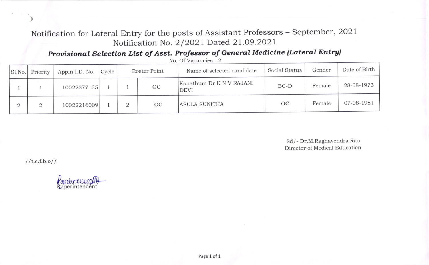Notification for Lateral Entry for the posts of Assistant Professors - September, 2O2l Notification No. 2/2021 Dated 21.09.2021

Provisional Selection List of Asst. Professor of General Medicine (Lateral Entry)

| Sl.No. | Priority | Appln I.D. No. Cycle | Roster Point |    | Name of selected candidate              | Social Status | Gender | Date of Birth |
|--------|----------|----------------------|--------------|----|-----------------------------------------|---------------|--------|---------------|
|        |          | 10022377135          |              | OC | Konathum Dr K N V RAJANI<br><b>DEVI</b> | $BC-D$        | Female | 28-08-1973    |
|        |          | 10022216009          |              | OC | ASULA SUNITHA                           | <b>OC</b>     | Female | 07-08-1981    |

No. Of Vacancies : 2

Sd/ - Dr.M.Raghavendra Rao Director of Medical Education

 $\frac{1}{t}$ .c.f.b.o//

)

familien